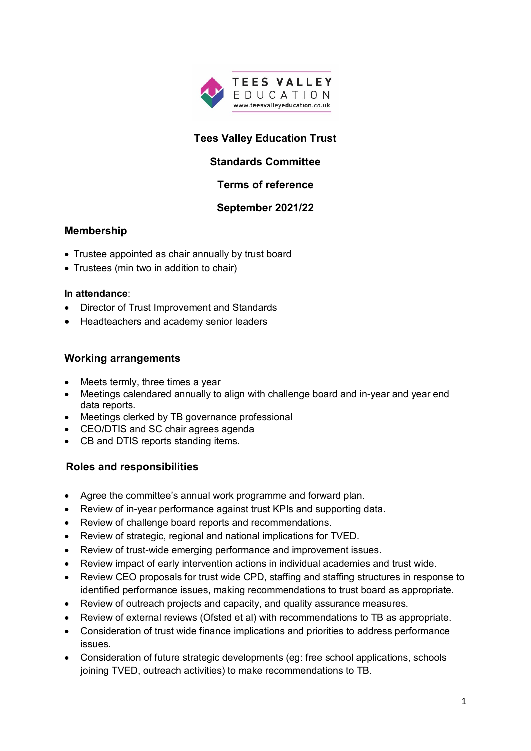

# **Tees Valley Education Trust**

## **Standards Committee**

### **Terms of reference**

### **September 2021/22**

### **Membership**

- Trustee appointed as chair annually by trust board
- Trustees (min two in addition to chair)

#### **In attendance**:

- Director of Trust Improvement and Standards
- Headteachers and academy senior leaders

#### **Working arrangements**

- Meets termly, three times a year
- Meetings calendared annually to align with challenge board and in-year and year end data reports.
- Meetings clerked by TB governance professional
- CEO/DTIS and SC chair agrees agenda
- CB and DTIS reports standing items.

### **Roles and responsibilities**

- Agree the committee's annual work programme and forward plan.
- Review of in-year performance against trust KPIs and supporting data.
- Review of challenge board reports and recommendations.
- Review of strategic, regional and national implications for TVED.
- Review of trust-wide emerging performance and improvement issues.
- Review impact of early intervention actions in individual academies and trust wide.
- Review CEO proposals for trust wide CPD, staffing and staffing structures in response to identified performance issues, making recommendations to trust board as appropriate.
- Review of outreach projects and capacity, and quality assurance measures.
- Review of external reviews (Ofsted et al) with recommendations to TB as appropriate.
- Consideration of trust wide finance implications and priorities to address performance issues.
- Consideration of future strategic developments (eg: free school applications, schools joining TVED, outreach activities) to make recommendations to TB.